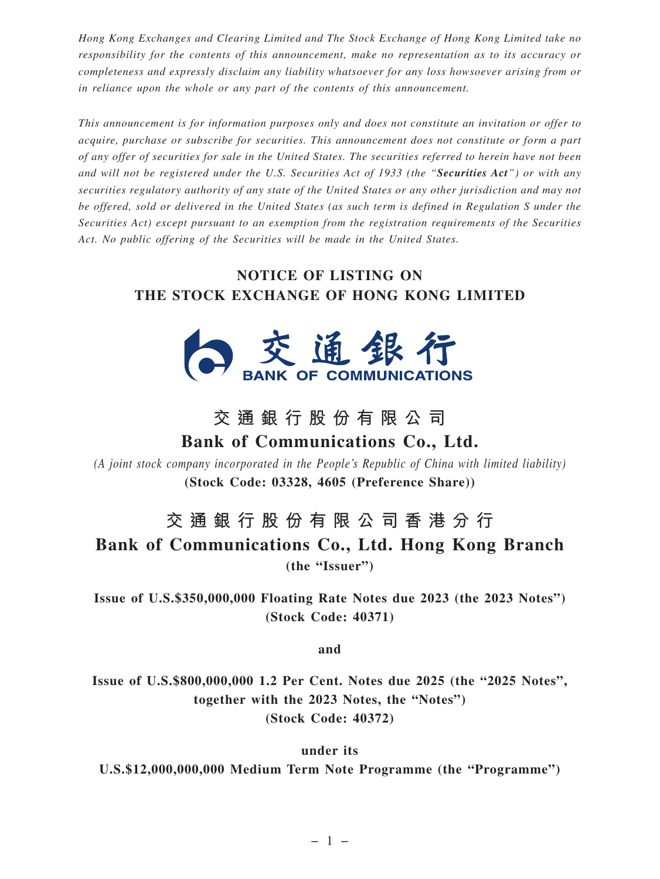*Hong Kong Exchanges and Clearing Limited and The Stock Exchange of Hong Kong Limited take no responsibility for the contents of this announcement, make no representation as to its accuracy or completeness and expressly disclaim any liability whatsoever for any loss howsoever arising from or in reliance upon the whole or any part of the contents of this announcement.*

*This announcement is for information purposes only and does not constitute an invitation or offer to acquire, purchase or subscribe for securities. This announcement does not constitute or form a part of any offer of securities for sale in the United States. The securities referred to herein have not been and will not be registered under the U.S. Securities Act of 1933 (the "Securities Act") or with any securities regulatory authority of any state of the United States or any other jurisdiction and may not be offered, sold or delivered in the United States (as such term is defined in Regulation S under the Securities Act) except pursuant to an exemption from the registration requirements of the Securities Act. No public offering of the Securities will be made in the United States.*

## **NOTICE OF LISTING ON THE STOCK EXCHANGE OF HONG KONG LIMITED**



## **交通銀行股份有限公司 Bank of Communications Co., Ltd.**

*(A joint stock company incorporated in the People's Republic of China with limited liability)* **(Stock Code: 03328, 4605 (Preference Share))**

## **交通銀行股份有限公司香港分行**

**Bank of Communications Co., Ltd. Hong Kong Branch (the "Issuer")**

**Issue of U.S.\$350,000,000 Floating Rate Notes due 2023 (the 2023 Notes") (Stock Code: 40371)**

**and**

**Issue of U.S.\$800,000,000 1.2 Per Cent. Notes due 2025 (the "2025 Notes", together with the 2023 Notes, the "Notes") (Stock Code: 40372)**

**under its U.S.\$12,000,000,000 Medium Term Note Programme (the "Programme")**